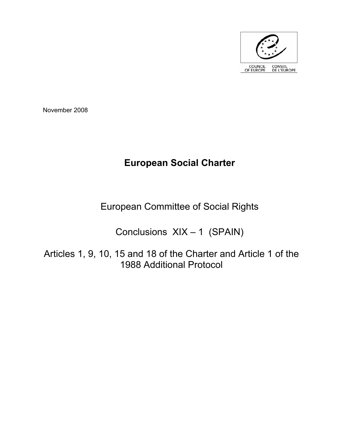

November 2008

# **European Social Charter**

European Committee of Social Rights

Conclusions XIX – 1 (SPAIN)

Articles 1, 9, 10, 15 and 18 of the Charter and Article 1 of the 1988 Additional Protocol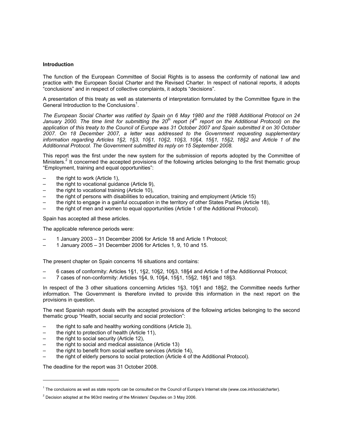# **Introduction**

The function of the European Committee of Social Rights is to assess the conformity of national law and practice with the European Social Charter and the Revised Charter. In respect of national reports, it adopts "conclusions" and in respect of collective complaints, it adopts "decisions".

A presentation of this treaty as well as statements of interpretation formulated by the Committee figure in the General Introduction to the Conclusions<sup>1</sup>.

*The European Social Charter was ratified by Spain on 6 May 1980 and the 1988 Additional Protocol on 24*  January 2000. The time limit for submitting the 20<sup>th</sup> report (4<sup>th</sup> report on the Additional Protocol) on the *application of this treaty to the Council of Europe was 31 October 2007 and Spain submitted it on 30 October 2007. On 18 December 2007, a letter was addressed to the Government requesting supplementary information regarding Articles 1§2, 1§3, 10§1, 10§2, 10§3, 10§4, 15§1, 15§2, 18§2 and Article 1 of the Additionnal Protocol. The Government submitted its reply on 15 September 2008.* 

This report was the first under the new system for the submission of reports adopted by the Committee of Ministers.<sup>2</sup> It concerned the accepted provisions of the following articles belonging to the first thematic group "Employment, training and equal opportunities":

- the right to work (Article 1),
- the right to vocational guidance (Article 9),
- the right to vocational training (Article 10),
- the right of persons with disabilities to education, training and employment (Article 15)
- the right to engage in a gainful occupation in the territory of other States Parties (Article 18),
- the right of men and women to equal opportunities (Article 1 of the Additional Protocol).

Spain has accepted all these articles.

The applicable reference periods were:

- 1 January 2003 31 December 2006 for Article 18 and Article 1 Protocol;
- 1 January 2005 31 December 2006 for Articles 1, 9, 10 and 15.

The present chapter on Spain concerns 16 situations and contains:

- 6 cases of conformity: Articles 1§1, 1§2, 10§2, 10§3, 18§4 and Article 1 of the Additionnal Protocol;
- 7 cases of non-conformity: Articles 1§4, 9, 10§4, 15§1, 15§2, 18§1 and 18§3.

In respect of the 3 other situations concerning Articles 1§3, 10§1 and 18§2, the Committee needs further information. The Government is therefore invited to provide this information in the next report on the provisions in question.

The next Spanish report deals with the accepted provisions of the following articles belonging to the second thematic group "Health, social security and social protection":

- the right to safe and healthy working conditions (Article 3),
- the right to protection of health (Article 11),
- the right to social security (Article 12),

 $\overline{a}$ 

- the right to social and medical assistance (Article 13)
- the right to benefit from social welfare services (Article 14),
- the right of elderly persons to social protection (Article 4 of the Additional Protocol).

The deadline for the report was 31 October 2008.

<sup>&</sup>lt;sup>1</sup> The conclusions as well as state reports can be consulted on the Council of Europe's Internet site (www.coe.int/socialcharter).

 $2$  Decision adopted at the 963rd meeting of the Ministers' Deputies on 3 May 2006.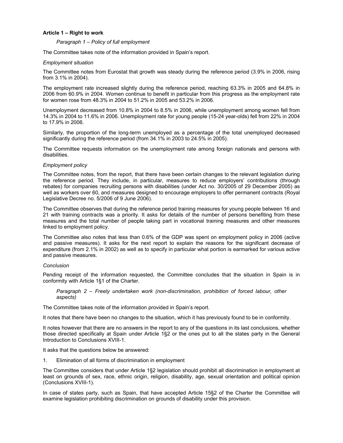# **Article 1 – Right to work**

## *Paragraph 1 – Policy of full employment*

The Committee takes note of the information provided in Spain's report.

## *Employment situation*

The Committee notes from Eurostat that growth was steady during the reference period (3.9% in 2006, rising from 3.1% in 2004).

The employment rate increased slightly during the reference period, reaching 63.3% in 2005 and 64.8% in 2006 from 60.9% in 2004. Women continue to benefit in particular from this progress as the employment rate for women rose from 48.3% in 2004 to 51.2% in 2005 and 53.2% in 2006.

Unemployment decreased from 10.8% in 2004 to 8.5% in 2006, while unemployment among women fell from 14.3% in 2004 to 11.6% in 2006. Unemployment rate for young people (15-24 year-olds) fell from 22% in 2004 to 17.9% in 2006.

Similarly, the proportion of the long-term unemployed as a percentage of the total unemployed decreased significantly during the reference period (from 34.1% in 2003 to 24.5% in 2005).

The Committee requests information on the unemployment rate among foreign nationals and persons with disabilities.

## *Employment policy*

The Committee notes, from the report, that there have been certain changes to the relevant legislation during the reference period. They include, in particular, measures to reduce employers' contributions (through rebates) for companies recruiting persons with disabilities (under Act no. 30/2005 of 29 December 2005) as well as workers over 60, and measures designed to encourage employers to offer permanent contracts (Royal Legislative Decree no. 5/2006 of 9 June 2006).

The Committee observes that during the reference period training measures for young people between 16 and 21 with training contracts was a priority. It asks for details of the number of persons benefiting from these measures and the total number of people taking part in vocational training measures and other measures linked to employment policy.

The Committee also notes that less than 0.6% of the GDP was spent on employment policy in 2006 (active and passive measures). It asks for the next report to explain the reasons for the significant decrease of expenditure (from 2.1% in 2002) as well as to specify in particular what portion is earmarked for various active and passive measures.

#### *Conclusion*

Pending receipt of the information requested, the Committee concludes that the situation in Spain is in conformity with Article 1§1 of the Charter.

*Paragraph 2 – Freely undertaken work (non-discrimination, prohibition of forced labour, other aspects)* 

The Committee takes note of the information provided in Spain's report.

It notes that there have been no changes to the situation, which it has previously found to be in conformity.

It notes however that there are no answers in the report to any of the questions in its last conclusions, whether those directed specifically at Spain under Article 1§2 or the ones put to all the states party in the General Introduction to Conclusions XVIII-1.

It asks that the questions below be answered:

1. Elimination of all forms of discrimination in employment

The Committee considers that under Article 1§2 legislation should prohibit all discrimination in employment at least on grounds of sex, race, ethnic origin, religion, disability, age, sexual orientation and political opinion (Conclusions XVIII-1).

In case of states party, such as Spain, that have accepted Article 15§2 of the Charter the Committee will examine legislation prohibiting discrimination on grounds of disability under this provision.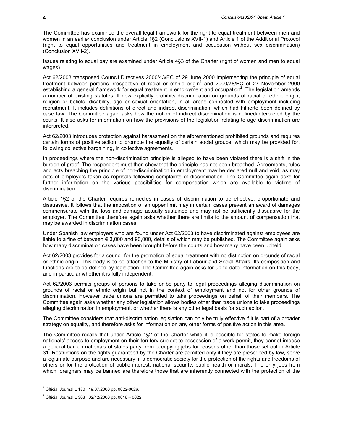The Committee has examined the overall legal framework for the right to equal treatment between men and women in an earlier conclusion under Article 1§2 (Conclusions XVII-1) and Article 1 of the Additional Protocol (right to equal opportunities and treatment in employment and occupation without sex discrimination) (Conclusion XVII-2).

Issues relating to equal pay are examined under Article 4§3 of the Charter (right of women and men to equal wages).

Act 62/2003 transposed Council Directives 2000/43/EC of 29 June 2000 implementing the principle of equal treatment between persons irrespective of racial or ethnic origin<sup>1</sup> and 2000/78/EC of 27 November 2000 establishing a general framework for equal treatment in employment and occupation<sup>2</sup>. The legislation amends a number of existing statutes. It now explicitly prohibits discrimination on grounds of racial or ethnic origin, religion or beliefs, disability, age or sexual orientation, in all areas connected with employment including recruitment. It includes definitions of direct and indirect discrimination, which had hitherto been defined by case law. The Committee again asks how the notion of indirect discrimination is defined/interpreted by the courts. It also asks for information on how the provisions of the legislation relating to age discrimination are interpreted.

Act 62/2003 introduces protection against harassment on the aforementioned prohibited grounds and requires certain forms of positive action to promote the equality of certain social groups, which may be provided for, following collective bargaining, in collective agreements.

In proceedings where the non-discrimination principle is alleged to have been violated there is a shift in the burden of proof. The respondent must then show that the principle has not been breached. Agreements, rules and acts breaching the principle of non-discrimination in employment may be declared null and void, as may acts of employers taken as reprisals following complaints of discrimination. The Committee again asks for further information on the various possibilities for compensation which are available to victims of discrimination.

Article 1§2 of the Charter requires remedies in cases of discrimination to be effective, proportionate and dissuasive. It follows that the imposition of an upper limit may in certain cases prevent an award of damages commensurate with the loss and damage actually sustained and may not be sufficiently dissuasive for the employer. The Committee therefore again asks whether there are limits to the amount of compensation that may be awarded in discrimination cases.

Under Spanish law employers who are found under Act 62/2003 to have discriminated against employees are liable to a fine of between  $\epsilon$  3,000 and 90,000, details of which may be published. The Committee again asks how many discrimination cases have been brought before the courts and how many have been upheld.

Act 62/2003 provides for a council for the promotion of equal treatment with no distinction on grounds of racial or ethnic origin. This body is to be attached to the Ministry of Labour and Social Affairs. Its composition and functions are to be defined by legislation. The Committee again asks for up-to-date information on this body, and in particular whether it is fully independent.

Act 62/2003 permits groups of persons to take or be party to legal proceedings alleging discrimination on grounds of racial or ethnic origin but not in the context of employment and not for other grounds of discrimination. However trade unions are permitted to take proceedings on behalf of their members. The Committee again asks whether any other legislation allows bodies other than trade unions to take proceedings alleging discrimination in employment, or whether there is any other legal basis for such action.

The Committee considers that anti-discrimination legislation can only be truly effective if it is part of a broader strategy on equality, and therefore asks for information on any other forms of positive action in this area.

The Committee recalls that under Article 1§2 of the Charter while it is possible for states to make foreign nationals' access to employment on their territory subject to possession of a work permit, they cannot impose a general ban on nationals of states party from occupying jobs for reasons other than those set out in Article 31. Restrictions on the rights guaranteed by the Charter are admitted only if they are prescribed by law, serve a legitimate purpose and are necessary in a democratic society for the protection of the rights and freedoms of others or for the protection of public interest, national security, public health or morals. The only jobs from which foreigners may be banned are therefore those that are inherently connected with the protection of the

<sup>1</sup> Official Journal L 180 , 19.07.2000 pp. 0022-0026.

<sup>&</sup>lt;sup>2</sup> Official Journal L 303, 02/12/2000 pp. 0016 - 0022.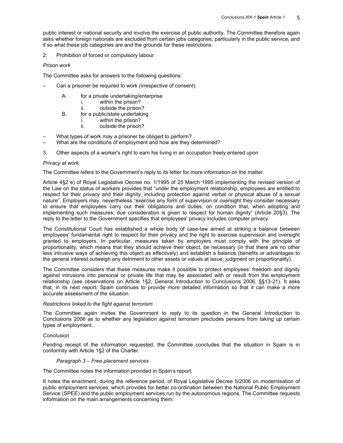public interest or national security and involve the exercise of public authority. The Committee therefore again asks whether foreign nationals are excluded from certain jobs categories, particularly in the public service, and if so what these job categories are and the grounds for these restrictions.

2. Prohibition of forced or compulsory labour

# *Prison work*

The Committee asks for answers to the following questions:

- Can a prisoner be required to work (irrespective of consent):
	- A. for a private undertaking/enterprise
		- i. within the prison?
		- ii. outside the prison?
	- B. for a public/state undertaking
		- i. within the prison?
		- ii. outside the prison?
- What types of work may a prisoner be obliged to perform?
- What are the conditions of employment and how are they determined?
- 3. Other aspects of a worker's right to earn his living in an occupation freely entered upon

# *Privacy at work*

The Committee refers to the Government's reply to its letter for more information on the matter.

Article 4§2 e) of Royal Legislative Decree no. 1/1995 of 25 March 1995 implementing the revised version of the Law on the status of workers provides that "under the employment relationship, employees are entitled to respect for their privacy and their dignity, including protection against verbal or physical abuse of a sexual nature". Employers may, nevertheless "exercise any form of supervision or oversight they consider necessary to ensure that employees carry out their obligations and duties, on condition that, when adopting and implementing such measures, due consideration is given to respect for human dignity" (Article 20§3). The reply to the letter to the Government specifies that employees' privacy includes computer privacy.

The Constitutional Court has established a whole body of case-law aimed at striking a balance between employees' fundamental right to respect for their privacy and the right to exercise supervision and oversight granted to employers. In particular, measures taken by employers must comply with the principle of proportionality, which means that they should achieve their object, be necessary (in that there are no other less intrusive ways of achieving this object as effectively) and establish a balance (benefits or advantages to the general interest outweigh any detriment to other assets or values at issue; judgment on proportionality).

The Committee considers that these measures make it possible to protect employees' freedom and dignity against intrusions into personal or private life that may be associated with or result from the employment relationship (see observations on Article 1§2, General Introduction to Conclusions 2006, §§13-21). It asks that, in its next report, Spain continues to provide more detailed information so that it can make a more accurate assessment of the situation.

#### *Restrictions linked to the fight against terrorism*

The Committee again invites the Government to reply to its question in the General Introduction to Conclusions 2006 as to whether any legislation against terrorism precludes persons from taking up certain types of employment.

# *Conclusion*

Pending receipt of the information requested, the Committee concludes that the situation in Spain is in conformity with Article 1§2 of the Charter.

#### *Paragraph 3 – Free placement services*

The Committee notes the information provided in Spain's report.

It notes the enactment, during the reference period, of Royal Legislative Decree 5/2006 on modernisation of public employment services, which provides for better co-ordination between the National Public Employment Service (SPEE) and the public employment services run by the autonomous regions. The Committee requests information on the main arrangements concerning them.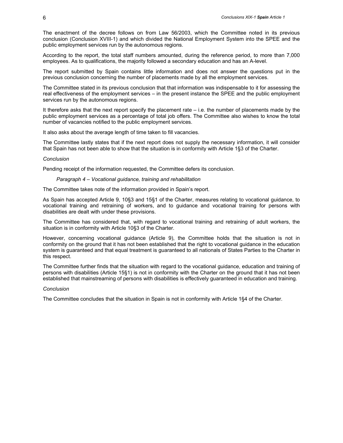The enactment of the decree follows on from Law 56/2003, which the Committee noted in its previous conclusion (Conclusion XVIII-1) and which divided the National Employment System into the SPEE and the public employment services run by the autonomous regions.

According to the report, the total staff numbers amounted, during the reference period, to more than 7,000 employees. As to qualifications, the majority followed a secondary education and has an A-level.

The report submitted by Spain contains little information and does not answer the questions put in the previous conclusion concerning the number of placements made by all the employment services.

The Committee stated in its previous conclusion that that information was indispensable to it for assessing the real effectiveness of the employment services – in the present instance the SPEE and the public employment services run by the autonomous regions.

It therefore asks that the next report specify the placement rate – i.e. the number of placements made by the public employment services as a percentage of total job offers. The Committee also wishes to know the total number of vacancies notified to the public employment services.

It also asks about the average length of time taken to fill vacancies.

The Committee lastly states that if the next report does not supply the necessary information, it will consider that Spain has not been able to show that the situation is in conformity with Article 1§3 of the Charter.

#### *Conclusion*

Pending receipt of the information requested, the Committee defers its conclusion.

#### *Paragraph 4 – Vocational guidance, training and rehabilitation*

The Committee takes note of the information provided in Spain's report.

As Spain has accepted Article 9, 10§3 and 15§1 of the Charter, measures relating to vocational guidance, to vocational training and retraining of workers, and to guidance and vocational training for persons with disabilities are dealt with under these provisions.

The Committee has considered that, with regard to vocational training and retraining of adult workers, the situation is in conformity with Article 10§3 of the Charter.

However, concerning vocational guidance (Article 9), the Committee holds that the situation is not in conformity on the ground that it has not been established that the right to vocational guidance in the education system is guaranteed and that equal treatment is guaranteed to all nationals of States Parties to the Charter in this respect.

The Committee further finds that the situation with regard to the vocational guidance, education and training of persons with disabilities (Article 15§1) is not in conformity with the Charter on the ground that it has not been established that mainstreaming of persons with disabilities is effectively guaranteed in education and training.

# *Conclusion*

The Committee concludes that the situation in Spain is not in conformity with Article 1§4 of the Charter.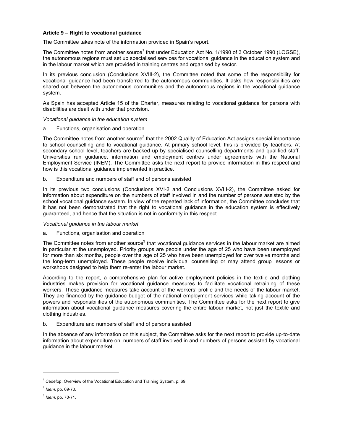# **Article 9 – Right to vocational guidance**

The Committee takes note of the information provided in Spain's report.

The Committee notes from another source<sup>1</sup> that under Education Act No. 1/1990 of 3 October 1990 (LOGSE), the autonomous regions must set up specialised services for vocational guidance in the education system and in the labour market which are provided in training centres and organised by sector.

In its previous conclusion (Conclusions XVIII-2), the Committee noted that some of the responsibility for vocational guidance had been transferred to the autonomous communities. It asks how responsibilities are shared out between the autonomous communities and the autonomous regions in the vocational guidance system.

As Spain has accepted Article 15 of the Charter, measures relating to vocational guidance for persons with disabilities are dealt with under that provision.

*Vocational guidance in the education system* 

a. Functions, organisation and operation

The Committee notes from another source<sup>2</sup> that the 2002 Quality of Education Act assigns special importance to school counselling and to vocational guidance. At primary school level, this is provided by teachers. At secondary school level, teachers are backed up by specialised counselling departments and qualified staff. Universities run guidance, information and employment centres under agreements with the National Employment Service (INEM). The Committee asks the next report to provide information in this respect and how is this vocational guidance implemented in practice.

b. Expenditure and numbers of staff and of persons assisted

In its previous two conclusions (Conclusions XVI-2 and Conclusions XVIII-2), the Committee asked for information about expenditure on the numbers of staff involved in and the number of persons assisted by the school vocational guidance system. In view of the repeated lack of information, the Committee concludes that it has not been demonstrated that the right to vocational guidance in the education system is effectively guaranteed, and hence that the situation is not in conformity in this respect.

# *Vocational guidance in the labour market*

a. Functions, organisation and operation

The Committee notes from another source<sup>3</sup> that vocational guidance services in the labour market are aimed in particular at the unemployed. Priority groups are people under the age of 25 who have been unemployed for more than six months, people over the age of 25 who have been unemployed for over twelve months and the long-term unemployed. These people receive individual counselling or may attend group lessons or workshops designed to help them re-enter the labour market.

According to the report, a comprehensive plan for active employment policies in the textile and clothing industries makes provision for vocational guidance measures to facilitate vocational retraining of these workers. These guidance measures take account of the workers' profile and the needs of the labour market. They are financed by the guidance budget of the national employment services while taking account of the powers and responsibilities of the autonomous communities. The Committee asks for the next report to give information about vocational guidance measures covering the entire labour market, not just the textile and clothing industries.

b. Expenditure and numbers of staff and of persons assisted

In the absence of any information on this subject, the Committee asks for the next report to provide up-to-date information about expenditure on, numbers of staff involved in and numbers of persons assisted by vocational guidance in the labour market.

<sup>&</sup>lt;sup>1</sup> Cedefop, Overview of the Vocational Education and Training System, p. 69.

<sup>2</sup> *Idem*, pp. 69-70.

<sup>3</sup> *Idem*, pp. 70-71.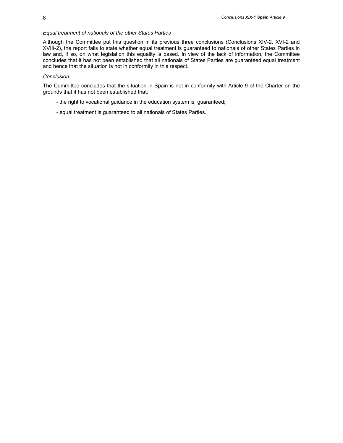## *Equal treatment of nationals of the other States Parties*

Although the Committee put this question in its previous three conclusions (Conclusions XIV-2, XVI-2 and XVIII-2), the report fails to state whether equal treatment is guaranteed to nationals of other States Parties in law and, if so, on what legislation this equality is based. In view of the lack of information, the Committee concludes that it has not been established that all nationals of States Parties are guaranteed equal treatment and hence that the situation is not in conformity in this respect.

## *Conclusion*

The Committee concludes that the situation in Spain is not in conformity with Article 9 of the Charter on the grounds that it has not been established that:

- the right to vocational guidance in the education system is guaranteed;
- equal treatment is guaranteed to all nationals of States Parties.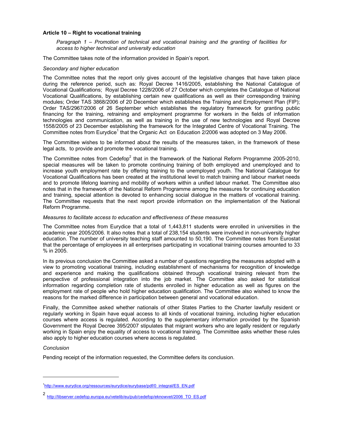# **Article 10 – Right to vocational training**

*Paragraph 1 – Promotion of technical and vocational training and the granting of facilities for access to higher technical and university education* 

The Committee takes note of the information provided in Spain's report.

## *Secondary and higher education*

The Committee notes that the report only gives account of the legislative changes that have taken place during the reference period, such as: Royal Decree 1416/2005, establishing the National Catalogue of Vocational Qualifications; Royal Decree 1228/2006 of 27 October which completes the Catalogue of National Vocational Qualifications, by establishing certain new qualifications as well as their corresponding training modules; Order TAS 3868/2006 of 20 December which establishes the Training and Employment Plan (FIP); Order TAS/2967/2006 of 26 September which establishes the regulatory framework for granting public financing for the training, retraining and employment programme for workers in the fields of information technologies and communication, as well as training in the use of new technologies and Royal Decree 1558/2005 of 23 December establishing the framework for the Integrated Centre of Vocational Training. The Committee notes from Eurydice<sup>1</sup> that the Organic Act on Education 2/2006 was adopted on 3 May 2006.

The Committee wishes to be informed about the results of the measures taken, in the framework of these legal acts, to provide and promote the vocational training.

The Committee notes from Cedefop<sup>2</sup> that in the framework of the National Reform Programme 2005-2010, special measures will be taken to promote continuing training of both employed and unemployed and to increase youth employment rate by offering training to the unemployed youth. The National Catalogue for Vocational Qualifications has been created at the institutional level to match training and labour market needs and to promote lifelong learning and mobility of workers within a unified labour market. The Committee also notes that in the framework of the National Reform Programme among the measures for continuing education and training, special attention is devoted to enhancing social dialogue in the matters of vocational training. The Committee requests that the next report provide information on the implementation of the National Reform Programme.

# *Measures to facilitate access to education and effectiveness of these measures*

The Committee notes from Eurydice that a total of 1,443,811 students were enrolled in universities in the academic year 2005/2006. It also notes that a total of 238,154 students were involved in non-university higher education. The number of university teaching staff amounted to 50,190. The Committee notes from Eurostat that the percentage of employees in all enterprises participating in vocational training courses amounted to 33 % in 2005.

In its previous conclusion the Committee asked a number of questions regarding the measures adopted with a view to promoting vocational training, including establishment of mechanisms for recognition of knowledge and experience and making the qualifications obtained through vocational training relevant from the perspective of professional integration into the job market. The Committee also asked for statistical information regarding completion rate of students enrolled in higher education as well as figures on the employment rate of people who hold higher education qualification. The Committee also wished to know the reasons for the marked difference in participation between general and vocational education.

Finally, the Committee asked whether nationals of other States Parties to the Charter lawfully resident or regularly working in Spain have equal access to all kinds of vocational training, including higher education courses where access is regulated. According to the supplementary information provided by the Spanish Government the Royal Decree 395/2007 stipulates that migrant workers who are legally resident or regularly working in Spain enjoy the equality of access to vocational training. The Committee asks whether these rules also apply to higher education courses where access is regulated.

# *Conclusion*

 $\overline{a}$ 

Pending receipt of the information requested, the Committee defers its conclusion.

<sup>&</sup>lt;sup>1</sup>http://www.eurydice.org/ressources/eurydice/eurybase/pdf/0\_integral/ES\_EN.pdf

<sup>2</sup> http://libserver.cedefop.europa.eu/vetelib/eu/pub/cedefop/eknowvet/2006\_TO\_ES.pdf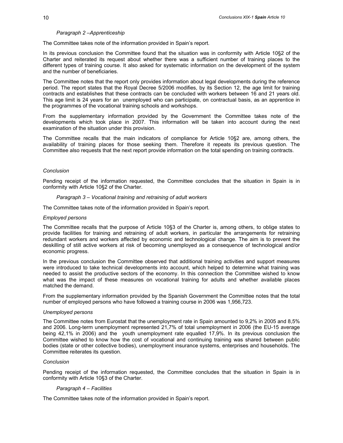## *Paragraph 2 –Apprenticeship*

The Committee takes note of the information provided in Spain's report.

In its previous conclusion the Committee found that the situation was in conformity with Article 10§2 of the Charter and reiterated its request about whether there was a sufficient number of training places to the different types of training course. It also asked for systematic information on the development of the system and the number of beneficiaries.

The Committee notes that the report only provides information about legal developments during the reference period. The report states that the Royal Decree 5/2006 modifies, by its Section 12, the age limit for training contracts and establishes that these contracts can be concluded with workers between 16 and 21 years old. This age limit is 24 years for an unemployed who can participate, on contractual basis, as an apprentice in the programmes of the vocational training schools and workshops.

From the supplementary information provided by the Government the Committee takes note of the developments which took place in 2007. This information will be taken into account during the next examination of the situation under this provision.

The Committee recalls that the main indicators of compliance for Article 10§2 are, among others, the availability of training places for those seeking them. Therefore it repeats its previous question. The Committee also requests that the next report provide information on the total spending on training contracts.

#### *Conclusion*

Pending receipt of the information requested, the Committee concludes that the situation in Spain is in conformity with Article 10§2 of the Charter.

#### *Paragraph 3 – Vocational training and retraining of adult workers*

The Committee takes note of the information provided in Spain's report.

#### *Employed persons*

The Committee recalls that the purpose of Article 10§3 of the Charter is, among others, to oblige states to provide facilities for training and retraining of adult workers, in particular the arrangements for retraining redundant workers and workers affected by economic and technological change. The aim is to prevent the deskilling of still active workers at risk of becoming unemployed as a consequence of technological and/or economic progress.

In the previous conclusion the Committee observed that additional training activities and support measures were introduced to take technical developments into account, which helped to determine what training was needed to assist the productive sectors of the economy. In this connection the Committee wished to know what was the impact of these measures on vocational training for adults and whether available places matched the demand.

From the supplementary information provided by the Spanish Government the Committee notes that the total number of employed persons who have followed a training course in 2006 was 1,956,723.

#### *Unemployed persons*

The Committee notes from Eurostat that the unemployment rate in Spain amounted to 9,2% in 2005 and 8,5% and 2006. Long-term unemployment represented 21,7% of total unemployment in 2006 (the EU-15 average being 42,1% in 2006) and the youth unemployment rate equalled 17,9%. In its previous conclusion the Committee wished to know how the cost of vocational and continuing training was shared between public bodies (state or other collective bodies), unemployment insurance systems, enterprises and households. The Committee reiterates its question.

#### *Conclusion*

Pending receipt of the information requested, the Committee concludes that the situation in Spain is in conformity with Article 10§3 of the Charter.

## *Paragraph 4 – Facilities*

The Committee takes note of the information provided in Spain's report.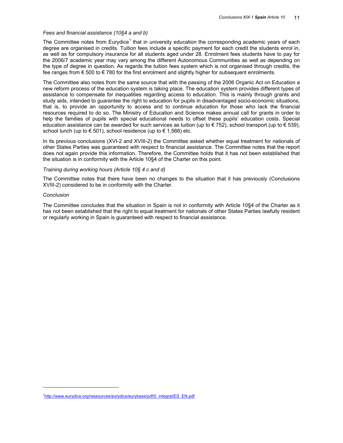## *Fees and financial assistance (10§4 a and b)*

The Committee notes from Eurydice<sup>1</sup> that in university education the corresponding academic years of each degree are organised in credits. Tuition fees include a specific payment for each credit the students enrol in, as well as for compulsory insurance for all students aged under 28. Enrolment fees students have to pay for the 2006/7 academic year may vary among the different Autonomous Communities as well as depending on the type of degree in question. As regards the tuition fees system which is not organised through credits, the fee ranges from  $\epsilon$  500 to  $\epsilon$  780 for the first enrolment and slightly higher for subsequent enrolments.

The Committee also notes from the same source that with the passing of the 2006 Organic Act on Education a new reform process of the education system is taking place. The education system provides different types of assistance to compensate for inequalities regarding access to education. This is mainly through grants and study aids, intended to guarantee the right to education for pupils in disadvantaged socio-economic situations, that is, to provide an opportunity to access and to continue education for those who lack the financial resources required to do so. The Ministry of Education and Science makes annual call for grants in order to help the families of pupils with special educational needs to offset these pupils' education costs. Special education assistance can be awarded for such services as tuition (up to  $\in$  752), school transport (up to  $\in$  539), school lunch (up to  $\in$  501), school residence (up to  $\in$  1,566) etc.

In its previous conclusions (XVI-2 and XVIII-2) the Committee asked whether equal treatment for nationals of other States Parties was guaranteed with respect to financial assistance. The Committee notes that the report does not again provide this information. Therefore, the Committee holds that it has not been established that the situation is in conformity with the Article 10§4 of the Charter on this point.

# *Training during working hours (Article 10§ 4 c and d)*

The Committee notes that there have been no changes to the situation that it has previously (Conclusions XVIII-2) considered to be in conformity with the Charter.

# *Conclusion*

 $\overline{a}$ 

The Committee concludes that the situation in Spain is not in conformity with Article 10§4 of the Charter as it has not been established that the right to equal treatment for nationals of other States Parties lawfully resident or regularly working in Spain is guaranteed with respect to financial assistance.

<sup>&</sup>lt;sup>1</sup>http://www.eurydice.org/ressources/eurydice/eurybase/pdf/0\_integral/ES\_EN.pdf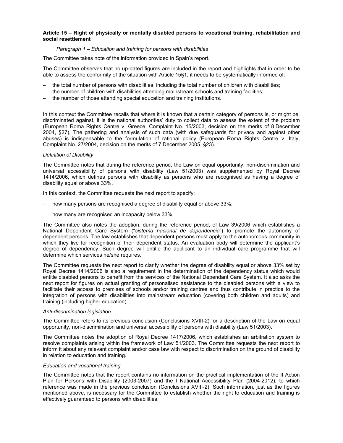# **Article 15 – Right of physically or mentally disabled persons to vocational training, rehabilitation and social resettlement**

# *Paragraph 1 – Education and training for persons with disabilities*

The Committee takes note of the information provided in Spain's report.

The Committee observes that no up-dated figures are included in the report and highlights that in order to be able to assess the conformity of the situation with Article 15§1, it needs to be systematically informed of:

- the total number of persons with disabilities, including the total number of children with disabilities;
- the number of children with disabilities attending mainstream schools and training facilities;
- − the number of those attending special education and training institutions.

In this context the Committee recalls that where it is known that a certain category of persons is, or might be, discriminated against, it is the national authorities' duty to collect data to assess the extent of the problem (European Roma Rights Centre v. Greece, Complaint No. 15/2003, decision on the merits of 8 December 2004, §27). The gathering and analysis of such data (with due safeguards for privacy and against other abuses) is indispensable to the formulation of rational policy (European Roma Rights Centre v. Italy, Complaint No. 27/2004, decision on the merits of 7 December 2005, §23).

# *Definition of Disability*

The Committee notes that during the reference period, the Law on equal opportunity, non-discrimination and universal accessibility of persons with disability (Law 51/2003) was supplemented by Royal Decree 1414/2006, which defines persons with disability as persons who are recognised as having a degree of disability equal or above 33%.

In this context, the Committee requests the next report to specify:

- how many persons are recognised a degree of disability equal or above 33%;
- − how many are recognised an incapacity below 33%.

The Committee also notes the adoption, during the reference period, of Law 39/2006 which establishes a National Dependent Care System ("*sistema nacional de dependencia*") to promote the autonomy of dependent persons. The law establishes that dependent persons must apply to the autonomous community in which they live for recognition of their dependent status. An evaluation body will determine the applicant's degree of dependency. Such degree will entitle the applicant to an individual care programme that will determine which services he/she requires.

The Committee requests the next report to clarify whether the degree of disability equal or above 33% set by Royal Decree 1414/2006 is also a requirement in the determination of the dependency status which would entitle disabled persons to benefit from the services of the National Dependant Care System. It also asks the next report for figures on actual granting of personalised assistance to the disabled persons with a view to facilitate their access to premises of schools and/or training centres and thus contribute in practice to the integration of persons with disabilities into mainstream education (covering both children and adults) and training (including higher education).

# *Anti-discrimination legislation*

The Committee refers to its previous conclusion (Conclusions XVIII-2) for a description of the Law on equal opportunity, non-discrimination and universal accessibility of persons with disability (Law 51/2003).

The Committee notes the adoption of Royal Decree 1417/2006, which establishes an arbitration system to resolve complaints arising within the framework of Law 51/2003. The Committee requests the next report to inform it about any relevant complaint and/or case law with respect to discrimination on the ground of disability in relation to education and training.

# *Education and vocational training*

The Committee notes that the report contains no information on the practical implementation of the II Action Plan for Persons with Disability (2003-2007) and the I National Accessibility Plan (2004-2012), to which reference was made in the previous conclusion (Conclusions XVIII-2). Such information, just as the figures mentioned above, is necessary for the Committee to establish whether the right to education and training is effectively guaranteed to persons with disabilities.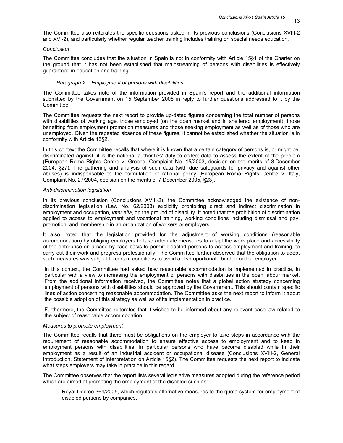13

The Committee also reiterates the specific questions asked in its previous conclusions (Conclusions XVIII-2 and XVI-2), and particularly whether regular teacher training includes training on special needs education.

#### *Conclusion*

The Committee concludes that the situation in Spain is not in conformity with Article 15§1 of the Charter on the ground that it has not been established that mainstreaming of persons with disabilities is effectively guaranteed in education and training.

#### *Paragraph 2 – Employment of persons with disabilities*

The Committee takes note of the information provided in Spain's report and the additional information submitted by the Government on 15 September 2008 in reply to further questions addressed to it by the Committee.

The Committee requests the next report to provide up-dated figures concerning the total number of persons with disabilities of working age, those employed (on the open market and in sheltered employment), those benefiting from employment promotion measures and those seeking employment as well as of those who are unemployed. Given the repeated absence of these figures, it cannot be established whether the situation is in conformity with Article 15§2.

In this context the Committee recalls that where it is known that a certain category of persons is, or might be, discriminated against, it is the national authorities' duty to collect data to assess the extent of the problem (European Roma Rights Centre v. Greece, Complaint No. 15/2003, decision on the merits of 8 December 2004, §27). The gathering and analysis of such data (with due safeguards for privacy and against other abuses) is indispensable to the formulation of rational policy (European Roma Rights Centre v. Italy, Complaint No. 27/2004, decision on the merits of 7 December 2005, §23).

#### *Anti-discrimination legislation*

In its previous conclusion (Conclusions XVIII-2), the Committee acknowledged the existence of nondiscrimination legislation (Law No. 62/2003) explicitly prohibiting direct and indirect discrimination in employment and occupation, *inter alia*, on the ground of disability. It noted that the prohibition of discrimination applied to access to employment and vocational training, working conditions including dismissal and pay, promotion, and membership in an organization of workers or employers.

It also noted that the legislation provided for the adjustment of working conditions (reasonable accommodation) by obliging employers to take adequate measures to adapt the work place and accessibility of the enterprise on a case-by-case basis to permit disabled persons to access employment and training, to carry out their work and progress professionally. The Committee further observed that the obligation to adopt such measures was subject to certain conditions to avoid a disproportionate burden on the employer.

In this context, the Committee had asked how reasonable accommodation is implemented in practice, in particular with a view to increasing the employment of persons with disabilities in the open labour market. From the additional information received, the Committee notes that a global action strategy concerning employment of persons with disabilities should be approved by the Government. This should contain specific lines of action concerning reasonable accommodation. The Committee asks the next report to inform it about the possible adoption of this strategy as well as of its implementation in practice.

Furthermore, the Committee reiterates that it wishes to be informed about any relevant case-law related to the subject of reasonable accommodation.

#### *Measures to promote employment*

The Committee recalls that there must be obligations on the employer to take steps in accordance with the requirement of reasonable accommodation to ensure effective access to employment and to keep in employment persons with disabilities, in particular persons who have become disabled while in their employment as a result of an industrial accident or occupational disease (Conclusions XVIII-2, General Introduction, Statement of Interpretation on Article 15§2). The Committee requests the next report to indicate what steps employers may take in practice in this regard.

The Committee observes that the report lists several legislative measures adopted during the reference period which are aimed at promoting the employment of the disabled such as:

– Royal Decree 364/2005, which regulates alternative measures to the quota system for employment of disabled persons by companies.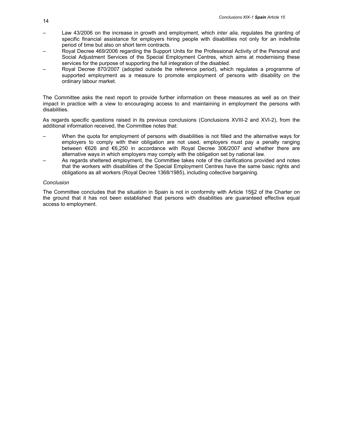- Law 43/2006 on the increase in growth and employment, which *inter alia*, regulates the granting of specific financial assistance for employers hiring people with disabilities not only for an indefinite period of time but also on short term contracts.
- Royal Decree 469/2006 regarding the Support Units for the Professional Activity of the Personal and Social Adjustment Services of the Special Employment Centres, which aims at modernising these services for the purpose of supporting the full integration of the disabled.
- Royal Decree 870/2007 (adopted outside the reference period), which regulates a programme of supported employment as a measure to promote employment of persons with disability on the ordinary labour market.

The Committee asks the next report to provide further information on these measures as well as on their impact in practice with a view to encouraging access to and maintaining in employment the persons with disabilities.

As regards specific questions raised in its previous conclusions (Conclusions XVIII-2 and XVI-2), from the additional information received, the Committee notes that:

- When the quota for employment of persons with disabilities is not filled and the alternative ways for employers to comply with their obligation are not used, employers must pay a penalty ranging between €626 and €6,250 in accordance with Royal Decree 306/2007 and whether there are alternative ways in which employers may comply with the obligation set by national law.
- As regards sheltered employment, the Committee takes note of the clarifications provided and notes that the workers with disabilities of the Special Employment Centres have the same basic rights and obligations as all workers (Royal Decree 1368/1985), including collective bargaining.

# *Conclusion*

The Committee concludes that the situation in Spain is not in conformity with Article 15§2 of the Charter on the ground that it has not been established that persons with disabilities are guaranteed effective equal access to employment.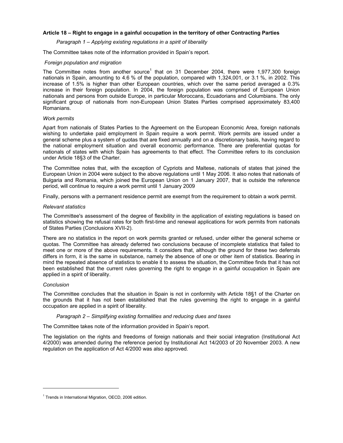# **Article 18 – Right to engage in a gainful occupation in the territory of other Contracting Parties**

# *Paragraph 1 – Applying existing regulations in a spirit of liberality*

The Committee takes note of the information provided in Spain's report.

# *Foreign population and migration*

The Committee notes from another source<sup>1</sup> that on 31 December 2004, there were 1,977,300 foreign nationals in Spain, amounting to 4.6 % of the population, compared with 1,324,001, or 3.1 %, in 2002. This increase of 1.5% is higher than other European countries, which over the same period averaged a 0.3% increase in their foreign population. In 2004, the foreign population was comprised of European Union nationals and persons from outside Europe, in particular Moroccans, Ecuadorians and Columbians. The only significant group of nationals from non-European Union States Parties comprised approximately 83,400 Romanians.

# *Work permits*

Apart from nationals of States Parties to the Agreement on the European Economic Area, foreign nationals wishing to undertake paid employment in Spain require a work permit. Work permits are issued under a general scheme plus a system of quotas that are fixed annually and on a discretionary basis, having regard to the national employment situation and overall economic performance. There are preferential quotas for nationals of states with which Spain has agreements to that effect. The Committee refers to its conclusion under Article 18§3 of the Charter.

The Committee notes that, with the exception of Cypriots and Maltese, nationals of states that joined the European Union in 2004 were subject to the above regulations until 1 May 2006. It also notes that nationals of Bulgaria and Romania, which joined the European Union on 1 January 2007, that is outside the reference period, will continue to require a work permit until 1 January 2009

Finally, persons with a permanent residence permit are exempt from the requirement to obtain a work permit.

#### *Relevant statistics*

The Committee's assessment of the degree of flexibility in the application of existing regulations is based on statistics showing the refusal rates for both first-time and renewal applications for work permits from nationals of States Parties (Conclusions XVII-2).

There are no statistics in the report on work permits granted or refused, under either the general scheme or quotas. The Committee has already deferred two conclusions because of incomplete statistics that failed to meet one or more of the above requirements. It considers that, although the ground for these two deferrals differs in form, it is the same in substance, namely the absence of one or other item of statistics. Bearing in mind the repeated absence of statistics to enable it to assess the situation, the Committee finds that it has not been established that the current rules governing the right to engage in a gainful occupation in Spain are applied in a spirit of liberality.

#### *Conclusion*

 $\overline{a}$ 

The Committee concludes that the situation in Spain is not in conformity with Article 18§1 of the Charter on the grounds that it has not been established that the rules governing the right to engage in a gainful occupation are applied in a spirit of liberality.

#### *Paragraph 2 – Simplifying existing formalities and reducing dues and taxes*

The Committee takes note of the information provided in Spain's report.

The legislation on the rights and freedoms of foreign nationals and their social integration (Institutional Act 4/2000) was amended during the reference period by Institutional Act 14/2003 of 20 November 2003. A new regulation on the application of Act 4/2000 was also approved.

<sup>&</sup>lt;sup>1</sup> Trends in International Migration, OECD, 2006 edition.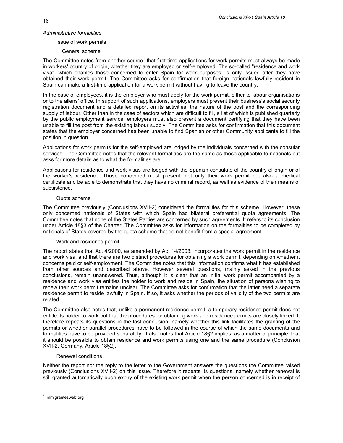# *Administrative formalities*

## Issue of work permits

# General scheme

The Committee notes from another source<sup>1</sup> that first-time applications for work permits must always be made in workers' country of origin, whether they are employed or self-employed. The so-called "residence and work visa", which enables those concerned to enter Spain for work purposes, is only issued after they have obtained their work permit. The Committee asks for confirmation that foreign nationals lawfully resident in Spain can make a first-time application for a work permit without having to leave the country.

In the case of employees, it is the employer who must apply for the work permit, either to labour organisations or to the aliens' office. In support of such applications, employers must present their business's social security registration document and a detailed report on its activities, the nature of the post and the corresponding supply of labour. Other than in the case of sectors which are difficult to fill, a list of which is published quarterly by the public employment service, employers must also present a document certifying that they have been unable to fill the post from the existing labour supply. The Committee asks for confirmation that this document states that the employer concerned has been unable to find Spanish or other Community applicants to fill the position in question.

Applications for work permits for the self-employed are lodged by the individuals concerned with the consular services. The Committee notes that the relevant formalities are the same as those applicable to nationals but asks for more details as to what the formalities are.

Applications for residence and work visas are lodged with the Spanish consulate of the country of origin or of the worker's residence. Those concerned must present, not only their work permit but also a medical certificate and be able to demonstrate that they have no criminal record, as well as evidence of their means of subsistence.

# Quota scheme

The Committee previously (Conclusions XVII-2) considered the formalities for this scheme. However, these only concerned nationals of States with which Spain had bilateral preferential quota agreements. The Committee notes that none of the States Parties are concerned by such agreements. It refers to its conclusion under Article 18§3 of the Charter. The Committee asks for information on the formalities to be completed by nationals of States covered by the quota scheme that do not benefit from a special agreement.

# Work and residence permit

The report states that Act 4/2000, as amended by Act 14/2003, incorporates the work permit in the residence and work visa, and that there are two distinct procedures for obtaining a work permit, depending on whether it concerns paid or self-employment. The Committee notes that this information confirms what it has established from other sources and described above. However several questions, mainly asked in the previous conclusions, remain unanswered. Thus, although it is clear that an initial work permit accompanied by a residence and work visa entitles the holder to work and reside in Spain, the situation of persons wishing to renew their work permit remains unclear. The Committee asks for confirmation that the latter need a separate residence permit to reside lawfully in Spain. If so, it asks whether the periods of validity of the two permits are related.

The Committee also notes that, unlike a permanent residence permit, a temporary residence permit does not entitle its holder to work but that the procedures for obtaining work and residence permits are closely linked. It therefore repeats its questions in the last conclusion, namely whether this link facilitates the granting of the permits or whether parallel procedures have to be followed in the course of which the same documents and formalities have to be provided separately. It also notes that Article 18§2 implies, as a matter of principle, that it should be possible to obtain residence and work permits using one and the same procedure (Conclusion XVII-2, Germany, Article 18§2).

#### Renewal conditions

Neither the report nor the reply to the letter to the Government answers the questions the Committee raised previously (Conclusions XVII-2) on this issue. Therefore it repeats its questions, namely whether renewal is still granted automatically upon expiry of the existing work permit when the person concerned is in receipt of

<sup>&</sup>lt;sup>1</sup> Immigrantesweb.org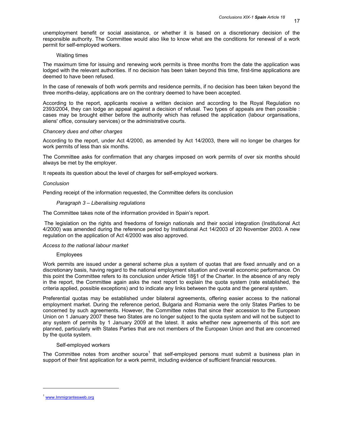17

unemployment benefit or social assistance, or whether it is based on a discretionary decision of the responsible authority. The Committee would also like to know what are the conditions for renewal of a work permit for self-employed workers.

## Waiting times

The maximum time for issuing and renewing work permits is three months from the date the application was lodged with the relevant authorities. If no decision has been taken beyond this time, first-time applications are deemed to have been refused.

In the case of renewals of both work permits and residence permits, if no decision has been taken beyond the three months-delay, applications are on the contrary deemed to have been accepted.

According to the report, applicants receive a written decision and according to the Royal Regulation no 2393/2004, they can lodge an appeal against a decision of refusal. Two types of appeals are then possible : cases may be brought either before the authority which has refused the application (labour organisations, aliens' office, consulary services) or the administrative courts.

# *Chancery dues and other charges*

According to the report, under Act 4/2000, as amended by Act 14/2003, there will no longer be charges for work permits of less than six months.

The Committee asks for confirmation that any charges imposed on work permits of over six months should always be met by the employer.

It repeats its question about the level of charges for self-employed workers.

# *Conclusion*

Pending receipt of the information requested, the Committee defers its conclusion

# *Paragraph 3 – Liberalising regulations*

The Committee takes note of the information provided in Spain's report.

 The legislation on the rights and freedoms of foreign nationals and their social integration (Institutional Act 4/2000) was amended during the reference period by Institutional Act 14/2003 of 20 November 2003. A new regulation on the application of Act 4/2000 was also approved.

# *Access to the national labour market*

# Employees

Work permits are issued under a general scheme plus a system of quotas that are fixed annually and on a discretionary basis, having regard to the national employment situation and overall economic performance. On this point the Committee refers to its conclusion under Article 18§1 of the Charter. In the absence of any reply in the report, the Committee again asks the next report to explain the quota system (rate established, the criteria applied, possible exceptions) and to indicate any links between the quota and the general system.

Preferential quotas may be established under bilateral agreements, offering easier access to the national employment market. During the reference period, Bulgaria and Romania were the only States Parties to be concerned by such agreements. However, the Committee notes that since their accession to the European Union on 1 January 2007 these two States are no longer subject to the quota system and will not be subject to any system of permits by 1 January 2009 at the latest. It asks whether new agreements of this sort are planned, particularly with States Parties that are not members of the European Union and that are concerned by the quota system.

# Self-employed workers

The Committee notes from another source<sup>1</sup> that self-employed persons must submit a business plan in support of their first application for a work permit, including evidence of sufficient financial resources.

<sup>&</sup>lt;sup>1</sup> www.Immigrantesweb.org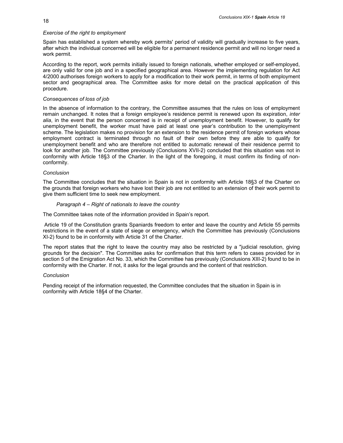# *Exercise of the right to employment*

Spain has established a system whereby work permits' period of validity will gradually increase to five years, after which the individual concerned will be eligible for a permanent residence permit and will no longer need a work permit.

According to the report, work permits initially issued to foreign nationals, whether employed or self-employed, are only valid for one job and in a specified geographical area. However the implementing regulation for Act 4/2000 authorises foreign workers to apply for a modification to their work permit, in terms of both employment sector and geographical area. The Committee asks for more detail on the practical application of this procedure.

# *Consequences of loss of job*

In the absence of information to the contrary, the Committee assumes that the rules on loss of employment remain unchanged. It notes that a foreign employee's residence permit is renewed upon its expiration, *inter alia*, in the event that the person concerned is in receipt of unemployment benefit. However, to qualify for unemployment benefit, the worker must have paid at least one year's contribution to the unemployment scheme. The legislation makes no provision for an extension to the residence permit of foreign workers whose employment contract is terminated through no fault of their own before they are able to qualify for unemployment benefit and who are therefore not entitled to automatic renewal of their residence permit to look for another job. The Committee previously (Conclusions XVII-2) concluded that this situation was not in conformity with Article 18§3 of the Charter. In the light of the foregoing, it must confirm its finding of nonconformity.

# *Conclusion*

The Committee concludes that the situation in Spain is not in conformity with Article 18§3 of the Charter on the grounds that foreign workers who have lost their job are not entitled to an extension of their work permit to give them sufficient time to seek new employment.

# *Paragraph 4 – Right of nationals to leave the country*

The Committee takes note of the information provided in Spain's report.

 Article 19 of the Constitution grants Spaniards freedom to enter and leave the country and Article 55 permits restrictions in the event of a state of siege or emergency, which the Committee has previously (Conclusions XI-2) found to be in conformity with Article 31 of the Charter.

The report states that the right to leave the country may also be restricted by a "judicial resolution, giving grounds for the decision". The Committee asks for confirmation that this term refers to cases provided for in section 5 of the Emigration Act No. 33, which the Committee has previously (Conclusions XIII-2) found to be in conformity with the Charter. If not, it asks for the legal grounds and the content of that restriction.

# *Conclusion*

Pending receipt of the information requested, the Committee concludes that the situation in Spain is in conformity with Article 18§4 of the Charter.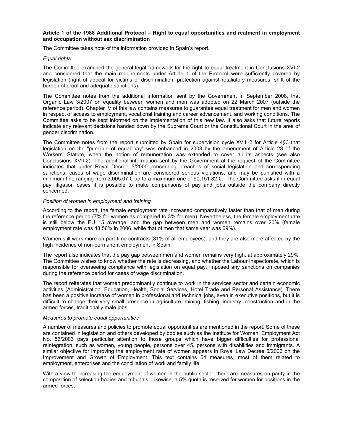# **Article 1 of the 1988 Additional Protocol – Right to equal opportunities and reatment in employment and occupation without sex discrimination**

The Committee takes note of the information provided in Spain's report.

# *Equal rights*

The Committee examined the general legal framework for the right to equal treatment in Conclusions XVI-2 and considered that the main requirements under Article 1 of the Protocol were sufficiently covered by legislation (right of appeal for victims of discrimination, protection against retaliatory measures, shift of the burden of proof and adequate sanctions).

The Committee notes from the additional information sent by the Government in September 2008, that Organic Law 3/2007 on equality between women and men was adopted on 22 March 2007 (outside the reference period). Chapter IV of this law contains measures to guarantee equal treatment for men and women in respect of access to employment, vocational training and career advancement, and working conditions. The Committee asks to be kept informed on the implementation of this new law. It also asks that future reports indicate any relevant decisions handed down by the Supreme Court or the Constitutional Court in the area of gender discrimination.

The Committee notes from the report submitted by Spain for supervision cycle XVIII-2 for Article 4§3 that legislation on the "principle of equal pay" was enhanced in 2003 by the amendment of Article 28 of the Workers' Statute, when the notion of remuneration was extended to cover all its aspects (see also Conclusions XVII-2). The additional information sent by the Government at the request of the Committee indicates that under Royal Decree 5/2000 concerning breaches of social legislation and corresponding sanctions, cases of wage discrimination are considered serious violations, and may be punished with a minimum fine ranging from 3,005.07  $\epsilon$  up to a maximum one of 90,151.82  $\epsilon$ . The Committee asks if in equal pay litigation cases it is possible to make comparisons of pay and jobs outside the company directly concerned.

# *Position of women in employment and training*

According to the report, the female employment rate increased comparatively faster than that of men during the reference period (7% for women as compared to 3% for men). Nevertheless, the female employment rate is still below the EU 15 average, and the gap between men and women remains over 20% (female employment rate was 48.56% in 2006, while that of men that same year was 69%).

Women still work more on part-time contracts (81% of all employees), and they are also more affected by the high incidence of non-permanent employment in Spain.

The report also indicates that the pay gap between men and women remains very high, at approximately 29%. The Committee wishes to know whether the rate is decreasing, and whether the Labour Inspectorate, which is responsible for overseeing compliance with legislation on equal pay, imposed any sanctions on companies during the reference period for cases of wage discrimination.

The report reiterates that women predominantly continue to work in the services sector and certain economic activities (Administration, Education, Health, Social Services, Hotel Trade and Personal Assistance). There has been a positive increase of women in professional and technical jobs, even in executive positions, but it is difficult to change their very small presence in agriculture, mining, fishing, industry, construction and in the armed forces, traditionally male jobs.

#### *Measures to promote equal opportunities*

A number of measures and policies to promote equal opportunities are mentioned in the report. Some of these are contained in legislation and others developed by bodies such as the Institute for Women. Employment Act No. 56/2003 pays particular attention to those groups which have bigger difficulties for professional reintegration, such as women, young people, persons over 45, persons with disabilities and immigrants. A similar objective for improving the employment rate of women appears in Royal Law Decree 5/2006 on the Improvement and Growth of Employment. This text contains 54 measures, most of them related to employment, enterprises and the conciliation of work and family life.

With a view to increasing the employment of women in the public sector, there are measures on parity in the composition of selection bodies and tribunals. Likewise, a 5% quota is reserved for women for positions in the armed forces.